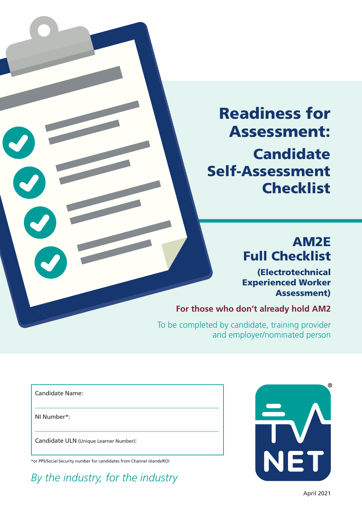Readiness for Assessment: **Candidate** Self-Assessment **Checklist** 

# AM2E Full Checklist

(Electrotechnical Experienced Worker Assessment)

**For those who don't already hold AM2**

 To be completed by candidate, training provider and employer/nominated person

Candidate Name:

NI Number\*:

Candidate ULN (Unique Learner Number):

\*or PPS/Social Security number for candidates from Channel Islands/ROI

*By the industry, for the industry*

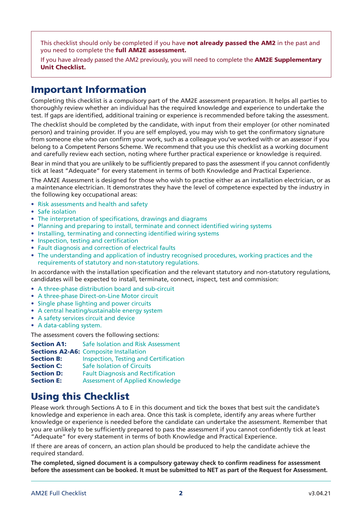This checklist should only be completed if you have not already passed the AM2 in the past and you need to complete the full AM2E assessment.

If you have already passed the AM2 previously, you will need to complete the **AM2E Supplementary** Unit Checklist.

### Important Information

Completing this checklist is a compulsory part of the AM2E assessment preparation. It helps all parties to thoroughly review whether an individual has the required knowledge and experience to undertake the test. If gaps are identified, additional training or experience is recommended before taking the assessment.

The checklist should be completed by the candidate, with input from their employer (or other nominated person) and training provider. If you are self employed, you may wish to get the confirmatory signature from someone else who can confirm your work, such as a colleague you've worked with or an assessor if you belong to a Competent Persons Scheme. We recommend that you use this checklist as a working document and carefully review each section, noting where further practical experience or knowledge is required.

Bear in mind that you are unlikely to be sufficiently prepared to pass the assessment if you cannot confidently tick at least "Adequate" for every statement in terms of both Knowledge and Practical Experience.

The AM2E Assessment is designed for those who wish to practise either as an installation electrician, or as a maintenance electrician. It demonstrates they have the level of competence expected by the industry in the following key occupational areas:

- Risk assessments and health and safety
- Safe isolation
- The interpretation of specifications, drawings and diagrams
- Planning and preparing to install, terminate and connect identified wiring systems
- Installing, terminating and connecting identified wiring systems
- Inspection, testing and certification
- Fault diagnosis and correction of electrical faults
- The understanding and application of industry recognised procedures, working practices and the requirements of statutory and non-statutory regulations.

In accordance with the installation specification and the relevant statutory and non-statutory regulations, candidates will be expected to install, terminate, connect, inspect, test and commission:

- A three-phase distribution board and sub-circuit
- A three-phase Direct-on-Line Motor circuit
- Single phase lighting and power circuits
- A central heating/sustainable energy system
- A safety services circuit and device
- A data-cabling system.

The assessment covers the following sections:

| Safe Isolation and Risk Assessment            |
|-----------------------------------------------|
| <b>Sections A2-A6: Composite Installation</b> |
| <b>Inspection, Testing and Certification</b>  |
| <b>Safe Isolation of Circuits</b>             |
| <b>Fault Diagnosis and Rectification</b>      |
| <b>Assessment of Applied Knowledge</b>        |
|                                               |

## Using this Checklist

Please work through Sections A to E in this document and tick the boxes that best suit the candidate's knowledge and experience in each area. Once this task is complete, identify any areas where further knowledge or experience is needed before the candidate can undertake the assessment. Remember that you are unlikely to be sufficiently prepared to pass the assessment if you cannot confidently tick at least "Adequate" for every statement in terms of both Knowledge and Practical Experience.

If there are areas of concern, an action plan should be produced to help the candidate achieve the required standard.

**The completed, signed document is a compulsory gateway check to confirm readiness for assessment before the assessment can be booked. It must be submitted to NET as part of the Request for Assessment.**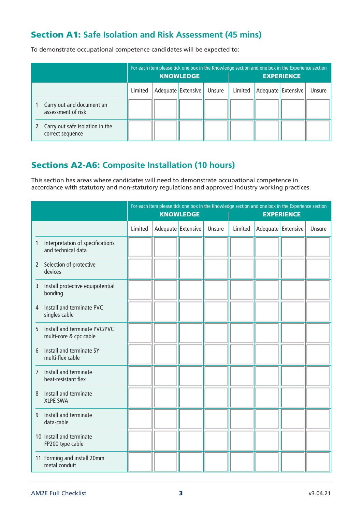### Section A1: **Safe Isolation and Risk Assessment (45 mins)**

To demonstrate occupational competence candidates will be expected to:

|                                                       |         | <b>KNOWLEDGE</b>   |        |         | For each item please tick one box in the Knowledge section and one box in the Experience section<br><b>EXPERIENCE</b> |        |
|-------------------------------------------------------|---------|--------------------|--------|---------|-----------------------------------------------------------------------------------------------------------------------|--------|
|                                                       | Limited | Adequate Extensive | Unsure | Limited | Adequate Extensive                                                                                                    | Unsure |
| Carry out and document an<br>assessment of risk       |         |                    |        |         |                                                                                                                       |        |
| 2 Carry out safe isolation in the<br>correct sequence |         |                    |        |         |                                                                                                                       |        |

## Sections A2-A6: **Composite Installation (10 hours)**

This section has areas where candidates will need to demonstrate occupational competence in accordance with statutory and non-statutory regulations and approved industry working practices.

|              |                                                         |         | <b>KNOWLEDGE</b>     |        |         |                    | For each item please tick one box in the Knowledge section and one box in the Experience section<br><b>EXPERIENCE</b> |        |
|--------------|---------------------------------------------------------|---------|----------------------|--------|---------|--------------------|-----------------------------------------------------------------------------------------------------------------------|--------|
|              |                                                         | Limited | Adequate   Extensive | Unsure | Limited | Adequate Extensive |                                                                                                                       | Unsure |
| 1            | Interpretation of specifications<br>and technical data  |         |                      |        |         |                    |                                                                                                                       |        |
| $\mathbf{2}$ | Selection of protective<br>devices                      |         |                      |        |         |                    |                                                                                                                       |        |
| 3            | Install protective equipotential<br>bonding             |         |                      |        |         |                    |                                                                                                                       |        |
| 4            | Install and terminate PVC<br>singles cable              |         |                      |        |         |                    |                                                                                                                       |        |
| 5            | Install and terminate PVC/PVC<br>multi-core & cpc cable |         |                      |        |         |                    |                                                                                                                       |        |
| 6            | Install and terminate SY<br>multi-flex cable            |         |                      |        |         |                    |                                                                                                                       |        |
| 7            | Install and terminate<br>heat-resistant flex            |         |                      |        |         |                    |                                                                                                                       |        |
| 8            | Install and terminate<br><b>XLPE SWA</b>                |         |                      |        |         |                    |                                                                                                                       |        |
| 9            | Install and terminate<br>data-cable                     |         |                      |        |         |                    |                                                                                                                       |        |
|              | 10 Install and terminate<br>FP200 type cable            |         |                      |        |         |                    |                                                                                                                       |        |
|              | 11 Forming and install 20mm<br>metal conduit            |         |                      |        |         |                    |                                                                                                                       |        |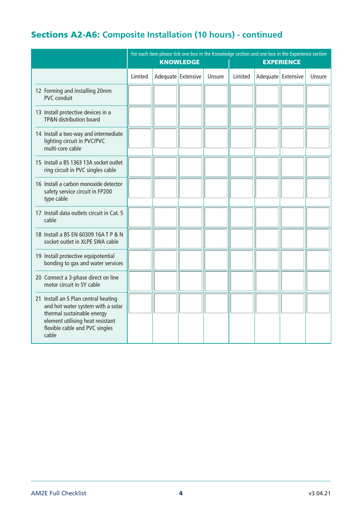## Sections A2-A6: **Composite Installation (10 hours) - continued**

|                                                                                                                                                                                        |         | <b>KNOWLEDGE</b>     |        |         | For each item please tick one box in the Knowledge section and one box in the Experience section<br><b>EXPERIENCE</b> |        |
|----------------------------------------------------------------------------------------------------------------------------------------------------------------------------------------|---------|----------------------|--------|---------|-----------------------------------------------------------------------------------------------------------------------|--------|
|                                                                                                                                                                                        | Limited | Adequate   Extensive | Unsure | Limited | Adequate Extensive                                                                                                    | Unsure |
| 12 Forming and installing 20mm<br><b>PVC</b> conduit                                                                                                                                   |         |                      |        |         |                                                                                                                       |        |
| 13 Install protective devices in a<br><b>TP&amp;N</b> distribution board                                                                                                               |         |                      |        |         |                                                                                                                       |        |
| 14 Install a two-way and intermediate<br>lighting circuit in PVC/PVC<br>multi-core cable                                                                                               |         |                      |        |         |                                                                                                                       |        |
| 15 Install a BS 1363 13A socket outlet<br>ring circuit in PVC singles cable                                                                                                            |         |                      |        |         |                                                                                                                       |        |
| 16 Install a carbon monoxide detector<br>safety service circuit in FP200<br>type cable                                                                                                 |         |                      |        |         |                                                                                                                       |        |
| 17 Install data outlets circuit in Cat. 5<br>cable                                                                                                                                     |         |                      |        |         |                                                                                                                       |        |
| 18 Install a BS EN 60309 16A T P & N<br>socket outlet in XLPE SWA cable                                                                                                                |         |                      |        |         |                                                                                                                       |        |
| 19 Install protective equipotential<br>bonding to gas and water services                                                                                                               |         |                      |        |         |                                                                                                                       |        |
| 20 Connect a 3-phase direct on line<br>motor circuit in SY cable                                                                                                                       |         |                      |        |         |                                                                                                                       |        |
| 21 Install an S Plan central heating<br>and hot water system with a solar<br>thermal sustainable energy<br>element utilising heat resistant<br>flexible cable and PVC singles<br>cable |         |                      |        |         |                                                                                                                       |        |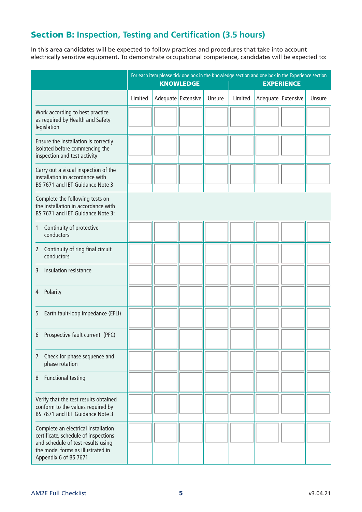## Section B: **Inspection, Testing and Certification (3.5 hours)**

In this area candidates will be expected to follow practices and procedures that take into account electrically sensitive equipment. To demonstrate occupational competence, candidates will be expected to:

|                                                                                                                                                                                 | For each item please tick one box in the Knowledge section and one box in the Experience section<br><b>KNOWLEDGE</b><br><b>EXPERIENCE</b> |                    |  |        |         |                    |  |        |
|---------------------------------------------------------------------------------------------------------------------------------------------------------------------------------|-------------------------------------------------------------------------------------------------------------------------------------------|--------------------|--|--------|---------|--------------------|--|--------|
|                                                                                                                                                                                 | Limited                                                                                                                                   | Adequate Extensive |  | Unsure | Limited | Adequate Extensive |  | Unsure |
| Work according to best practice<br>as required by Health and Safety<br>legislation                                                                                              |                                                                                                                                           |                    |  |        |         |                    |  |        |
| Ensure the installation is correctly<br>isolated before commencing the<br>inspection and test activity                                                                          |                                                                                                                                           |                    |  |        |         |                    |  |        |
| Carry out a visual inspection of the<br>installation in accordance with<br>BS 7671 and IET Guidance Note 3                                                                      |                                                                                                                                           |                    |  |        |         |                    |  |        |
| Complete the following tests on<br>the installation in accordance with<br>BS 7671 and IET Guidance Note 3:                                                                      |                                                                                                                                           |                    |  |        |         |                    |  |        |
| Continuity of protective<br>1<br>conductors                                                                                                                                     |                                                                                                                                           |                    |  |        |         |                    |  |        |
| Continuity of ring final circuit<br>2<br>conductors                                                                                                                             |                                                                                                                                           |                    |  |        |         |                    |  |        |
| Insulation resistance<br>3                                                                                                                                                      |                                                                                                                                           |                    |  |        |         |                    |  |        |
| Polarity<br>4                                                                                                                                                                   |                                                                                                                                           |                    |  |        |         |                    |  |        |
| Earth fault-loop impedance (EFLI)<br>5                                                                                                                                          |                                                                                                                                           |                    |  |        |         |                    |  |        |
| Prospective fault current (PFC)<br>6                                                                                                                                            |                                                                                                                                           |                    |  |        |         |                    |  |        |
| Check for phase sequence and<br>7<br>phase rotation                                                                                                                             |                                                                                                                                           |                    |  |        |         |                    |  |        |
| <b>Functional testing</b><br>8                                                                                                                                                  |                                                                                                                                           |                    |  |        |         |                    |  |        |
| Verify that the test results obtained<br>conform to the values required by<br>BS 7671 and IET Guidance Note 3                                                                   |                                                                                                                                           |                    |  |        |         |                    |  |        |
| Complete an electrical installation<br>certificate, schedule of inspections<br>and schedule of test results using<br>the model forms as illustrated in<br>Appendix 6 of BS 7671 |                                                                                                                                           |                    |  |        |         |                    |  |        |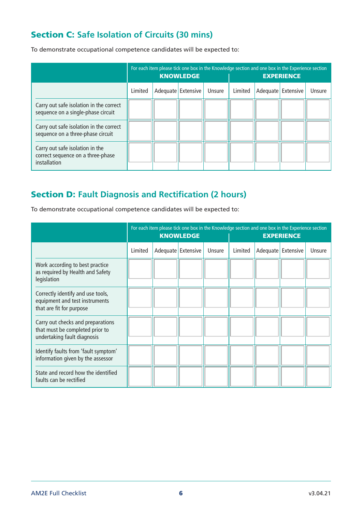## Section C: **Safe Isolation of Circuits (30 mins)**

To demonstrate occupational competence candidates will be expected to:

|                                                                                      |         | <b>KNOWLEDGE</b>   |        |         | For each item please tick one box in the Knowledge section and one box in the Experience section<br><b>EXPERIENCE</b> |        |
|--------------------------------------------------------------------------------------|---------|--------------------|--------|---------|-----------------------------------------------------------------------------------------------------------------------|--------|
|                                                                                      | Limited | Adequate Extensive | Unsure | Limited | Adequate Extensive                                                                                                    | Unsure |
| Carry out safe isolation in the correct<br>sequence on a single-phase circuit        |         |                    |        |         |                                                                                                                       |        |
| Carry out safe isolation in the correct<br>sequence on a three-phase circuit         |         |                    |        |         |                                                                                                                       |        |
| Carry out safe isolation in the<br>correct sequence on a three-phase<br>installation |         |                    |        |         |                                                                                                                       |        |

## Section D: **Fault Diagnosis and Rectification (2 hours)**

To demonstrate occupational competence candidates will be expected to:

|                                                                                                     |         | <b>KNOWLEDGE</b>   |        |         |                    | For each item please tick one box in the Knowledge section and one box in the Experience section<br><b>EXPERIENCE</b> |        |
|-----------------------------------------------------------------------------------------------------|---------|--------------------|--------|---------|--------------------|-----------------------------------------------------------------------------------------------------------------------|--------|
|                                                                                                     | Limited | Adequate Extensive | Unsure | Limited | Adequate Extensive |                                                                                                                       | Unsure |
| Work according to best practice<br>as required by Health and Safety<br>legislation                  |         |                    |        |         |                    |                                                                                                                       |        |
| Correctly identify and use tools,<br>equipment and test instruments<br>that are fit for purpose     |         |                    |        |         |                    |                                                                                                                       |        |
| Carry out checks and preparations<br>that must be completed prior to<br>undertaking fault diagnosis |         |                    |        |         |                    |                                                                                                                       |        |
| Identify faults from 'fault symptom'<br>information given by the assessor                           |         |                    |        |         |                    |                                                                                                                       |        |
| State and record how the identified<br>faults can be rectified                                      |         |                    |        |         |                    |                                                                                                                       |        |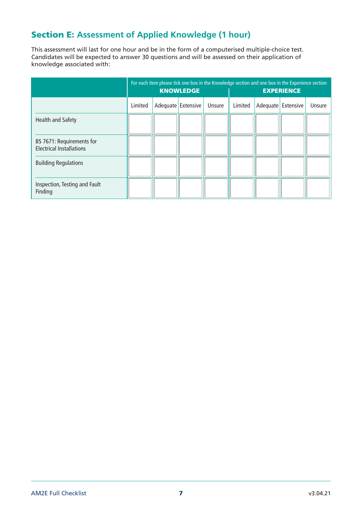## Section E: **Assessment of Applied Knowledge (1 hour)**

This assessment will last for one hour and be in the form of a computerised multiple-choice test. Candidates will be expected to answer 30 questions and will be assessed on their application of knowledge associated with:

|                                                              | For each item please tick one box in the Knowledge section and one box in the Experience section<br><b>KNOWLEDGE</b> |  |                    |        |         |          | <b>EXPERIENCE</b> |        |
|--------------------------------------------------------------|----------------------------------------------------------------------------------------------------------------------|--|--------------------|--------|---------|----------|-------------------|--------|
|                                                              | Limited                                                                                                              |  | Adequate Extensive | Unsure | Limited | Adequate | Extensive         | Unsure |
| Health and Safety                                            |                                                                                                                      |  |                    |        |         |          |                   |        |
| BS 7671: Requirements for<br><b>Electrical Installations</b> |                                                                                                                      |  |                    |        |         |          |                   |        |
| <b>Building Regulations</b>                                  |                                                                                                                      |  |                    |        |         |          |                   |        |
| Inspection, Testing and Fault<br>Finding                     |                                                                                                                      |  |                    |        |         |          |                   |        |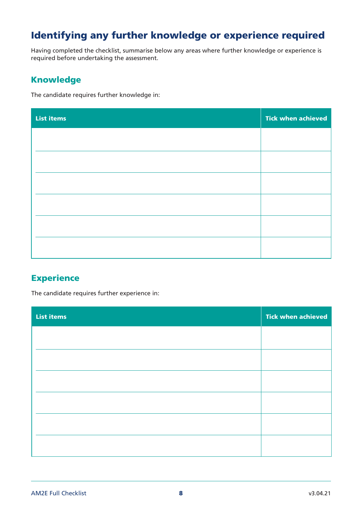## Identifying any further knowledge or experience required

Having completed the checklist, summarise below any areas where further knowledge or experience is required before undertaking the assessment.

#### Knowledge

The candidate requires further knowledge in:

| <b>List items</b> | <b>Tick when achieved</b> |
|-------------------|---------------------------|
|                   |                           |
|                   |                           |
|                   |                           |
|                   |                           |
|                   |                           |
|                   |                           |
|                   |                           |

### **Experience**

The candidate requires further experience in:

| <b>List items</b> | <b>Tick when achieved</b> |
|-------------------|---------------------------|
|                   |                           |
|                   |                           |
|                   |                           |
|                   |                           |
|                   |                           |
|                   |                           |
|                   |                           |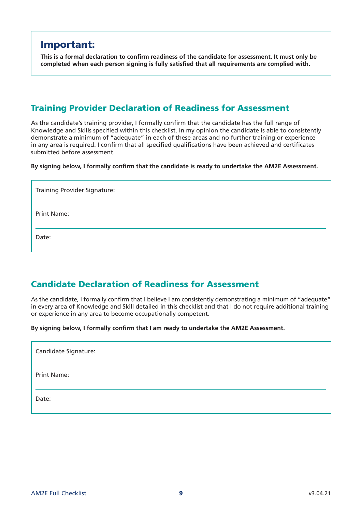## Important:

**This is a formal declaration to confirm readiness of the candidate for assessment. It must only be completed when each person signing is fully satisfied that all requirements are complied with.**

#### Training Provider Declaration of Readiness for Assessment

As the candidate's training provider, I formally confirm that the candidate has the full range of Knowledge and Skills specified within this checklist. In my opinion the candidate is able to consistently demonstrate a minimum of "adequate" in each of these areas and no further training or experience in any area is required. I confirm that all specified qualifications have been achieved and certificates submitted before assessment.

**By signing below, I formally confirm that the candidate is ready to undertake the AM2E Assessment.**

| <b>Training Provider Signature:</b> |
|-------------------------------------|
| <b>Print Name:</b>                  |
| Date:                               |

#### Candidate Declaration of Readiness for Assessment

As the candidate, I formally confirm that I believe I am consistently demonstrating a minimum of "adequate" in every area of Knowledge and Skill detailed in this checklist and that I do not require additional training or experience in any area to become occupationally competent.

**By signing below, I formally confirm that I am ready to undertake the AM2E Assessment.**

| Candidate Signature: |  |
|----------------------|--|
| <b>Print Name:</b>   |  |
| Date:                |  |